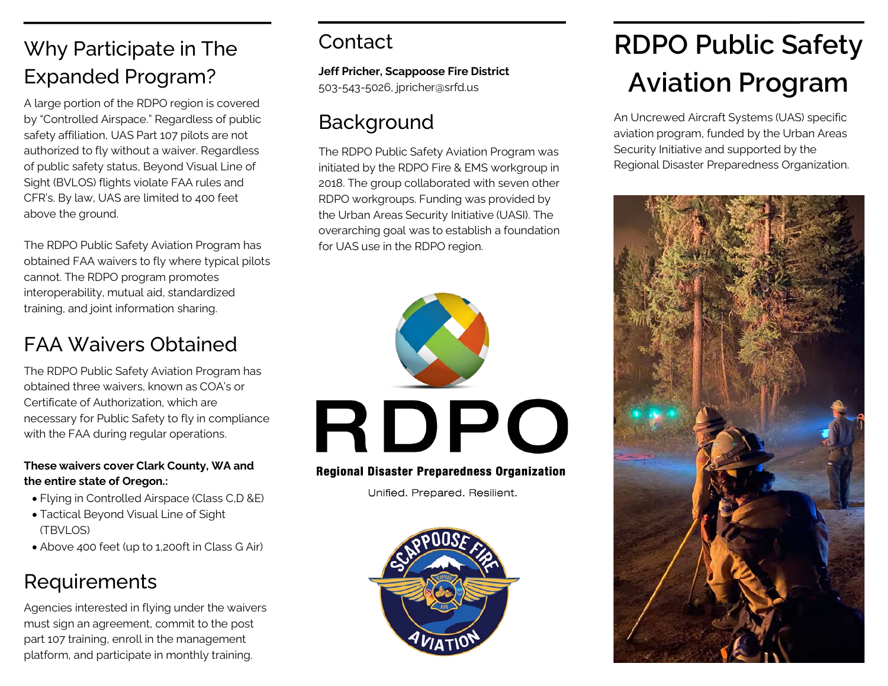## Why Participate in The Expanded Program?

A large portion of the RDPO region is covered by "Controlled Airspace." Regardless of public safety affiliation, UAS Part 107 pilots are not authorized to fly without a waiver. Regardless of public safety status, Beyond Visual Line of Sight (BVLOS) flights violate FAA rules and CFR's. By law, UAS are limited to 400 feet above the ground.

The RDPO Public Safety Aviation Program has obtained FAA waivers to fly where typical pilots cannot. The RDPO program promotes interoperability, mutual aid, standardized training, and joint information sharing.

## FAA Waivers Obtained

The RDPO Public Safety Aviation Program has obtained three waivers, known as COA's or Certificate of Authorization, which are necessary for Public Safety to fly in compliance with the FAA during regular operations.

### **These waivers cover Clark County, WA and the entire state of Oregon.:**

- Flying in Controlled Airspace (Class C,D &E)
- Tactical Beyond Visual Line of Sight (TBVLOS)
- Above 400 feet (up to 1,200ft in Class G Air)

## Requirements

Agencies interested in flying under the waivers must sign an agreement, commit to the post part 107 training, enroll in the management platform, and participate in monthly training.

## **Contact**

**Jeff Pricher, Scappoose Fire District** 503-543-5026, jpricher@srfd.us

## Background

The RDPO Public Safety Aviation Program was initiated by the RDPO Fire & EMS workgroup in 2018. The group collaborated with seven other RDPO workgroups. Funding was provided by the Urban Areas Security Initiative (UASI). The overarching goal was to establish a foundation for UAS use in the RDPO region.



### **Regional Disaster Preparedness Organization**

Unified. Prepared. Resilient.



# **RDPO Public Safety Aviation Program**

An Uncrewed Aircraft Systems (UAS) specific aviation program, funded by the Urban Areas Security Initiative and supported by the Regional Disaster Preparedness Organization.